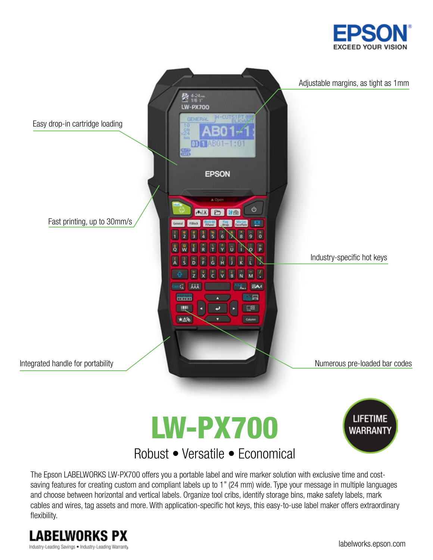



# LW-PX700 Robust • Versatile • Economical



### The Epson LABELWORKS LW-PX700 offers you a portable label and wire marker solution with exclusive time and costsaving features for creating custom and compliant labels up to 1" (24 mm) wide. Type your message in multiple languages and choose between horizontal and vertical labels. Organize tool cribs, identify storage bins, make safety labels, mark cables and wires, tag assets and more. With application-specific hot keys, this easy-to-use label maker offers extraordinary flexibility.



labelworks.epson.com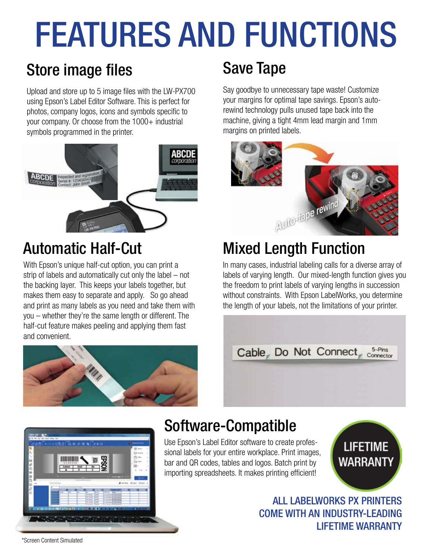# FEATURES AND FUNCTIONS

# Store image files Save Tape

Upload and store up to 5 image files with the LW-PX700 using Epson's Label Editor Software. This is perfect for photos, company logos, icons and symbols specific to your company. Or choose from the 1000+ industrial symbols programmed in the printer.



With Epson's unique half-cut option, you can print a strip of labels and automatically cut only the label – not the backing layer. This keeps your labels together, but makes them easy to separate and apply. So go ahead and print as many labels as you need and take them with you – whether they're the same length or different. The half-cut feature makes peeling and applying them fast and convenient.



Say goodbye to unnecessary tape waste! Customize your margins for optimal tape savings. Epson's autorewind technology pulls unused tape back into the machine, giving a tight 4mm lead margin and 1mm margins on printed labels.



# Automatic Half-Cut Mixed Length Function

In many cases, industrial labeling calls for a diverse array of labels of varying length. Our mixed-length function gives you the freedom to print labels of varying lengths in succession without constraints. With Epson LabelWorks, you determine the length of your labels, not the limitations of your printer.





# Software-Compatible

Use Epson's Label Editor software to create professional labels for your entire workplace. Print images, bar and QR codes, tables and logos. Batch print by importing spreadsheets. It makes printing efficient!

**LIFETIME WARRANTY** 

ALL LABELWORKS PX PRINTERS COME WITH AN INDUSTRY-LEADING LIFETIME WARRANTY

\*Screen Content Simulated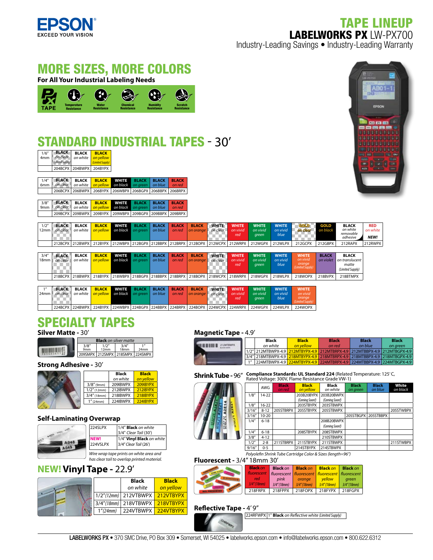

### TAPE LINEUP LABELWORKS PX LW-PX700

Industry-Leading Savings • Industry-Leading Warranty

## MORE SIZES, MORE COLORS

**For All Your Industrial Labeling Needs**



# STANDARD INDUSTRIAL TAPES - 30'

| 1/6''<br>4 <sub>mm</sub> | <b>BLACK</b><br>on clear<br>Limited Supply) | <b>BLACK</b><br>on white | <b>BLACK</b><br>on yellow<br>(Limited Supply) |              |              |
|--------------------------|---------------------------------------------|--------------------------|-----------------------------------------------|--------------|--------------|
|                          |                                             | 204BCPX 204BWPX          | 204BYPX                                       |              |              |
|                          |                                             |                          |                                               |              |              |
| 1/4''                    | <b>BLACK</b>                                | <b>BLACK</b>             | <b>BLACK</b>                                  | <b>WHITE</b> | <b>BLACK</b> |
| 6 <sub>mm</sub>          | on clear                                    | on white                 | on vellow                                     | on black     | on green     |

| 1/4'' | BLACK BLACK BLACK WHITE BLACK BLACK BLACK                        |  |  |  |
|-------|------------------------------------------------------------------|--|--|--|
|       | 6mm on clear on white on vellow on black on green on blue on red |  |  |  |
|       | 206BCPX 206BWPX 206BYPX 206WBPX 206BGPX 206BBPX 206BRPX          |  |  |  |
|       |                                                                  |  |  |  |

| 3/8'' | <b>BLACK BLACK BLACK WHITE BLACK</b>                                             |  | <b>BLACK BLACK</b> |  |
|-------|----------------------------------------------------------------------------------|--|--------------------|--|
|       | 9mm   on clear   on white   on yellow   on black   on green   on blue   on red ; |  |                    |  |
|       | 209BCPX   209BWPX   209BYPX   209WBPX   209BGPX   209BBPX   209BRPX              |  |                    |  |



| 1/2"<br>12mm l            | <b>BLACK</b><br>on clear | <b>BLACK</b><br>on white | <b>BLACK</b><br>on yellow | <b>WHITE</b><br>on black on green | <b>BLACK</b>             | <b>BLACK</b><br>on blue | <b>BLACK</b><br>on red | <b>BLACK</b><br>on orange                                                       | <b>WHITE</b><br>on clear | <b>WHITE</b><br>on vivid<br>red                                                 | <b>WHITE</b><br>on vivid<br>green | <b>WHITE</b><br>on vivid<br>blue | <b>GOLD</b><br>on clear                                | <b>GOLD</b><br>on black   | <b>BLACK</b><br>on white<br>removable<br>adhesive           | <b>RED</b><br>on white<br>NEW! |
|---------------------------|--------------------------|--------------------------|---------------------------|-----------------------------------|--------------------------|-------------------------|------------------------|---------------------------------------------------------------------------------|--------------------------|---------------------------------------------------------------------------------|-----------------------------------|----------------------------------|--------------------------------------------------------|---------------------------|-------------------------------------------------------------|--------------------------------|
|                           |                          |                          |                           |                                   |                          |                         |                        |                                                                                 |                          | 212BCPX 212BWPX 212BYPX 212WBPX 212BGPX 212BBPX 212BRPX 212BOPX 212WCPX 212WRPX | 212WGPX                           | 212WLPX                          | 212GCPX                                                | 212GBPX                   | 212RAPX                                                     | 212RWPX                        |
| 3/4''<br>18 <sub>mm</sub> | <b>BLACK</b><br>on clear | <b>BLACK</b><br>on white | <b>BLACK</b><br>on yellow | <b>WHITE</b><br>on black          | <b>BLACK</b><br>on green | <b>BLACK</b><br>on blue | <b>BLACK</b><br>on red | <b>BLACK</b><br>on orange                                                       | <b>WHITE</b><br>on clear | <b>WHITE</b><br>on vivid<br>red                                                 | <b>WHITE</b><br>on vivid<br>green | <b>WHITE</b><br>on vivid<br>blue | <b>WHITE</b><br>on vivid<br>orange<br>(Limited Supply) | <b>BLACK</b><br>on violet | <b>BLACK</b><br>on translucent<br>matte<br>(Limited Supply) |                                |
|                           |                          | 218BCPX 218BWPX          |                           |                                   |                          |                         |                        | 218BYPX 218WBPX 218BGPX 218BBPX 218BRPX 218BOPX 218WCPX                         |                          | 218WRPX                                                                         | 218WGPX                           | 218WLPX                          | 218WOPX                                                | 218BVPX                   | 218BTMPX                                                    |                                |
|                           |                          |                          |                           |                                   |                          |                         |                        |                                                                                 |                          |                                                                                 |                                   |                                  |                                                        |                           |                                                             |                                |
| 24mm                      | <b>BLACK</b><br>on clear | <b>BLACK</b><br>on white | <b>BLACK</b><br>on yellow | <b>WHITE</b><br>on black on green | <b>BLACK</b>             | <b>BLACK</b><br>on blue | <b>BLACK</b><br>on red | <b>BLACK</b><br>on orange                                                       | <b>WHITE</b><br>on clear | <b>WHITE</b><br>on vivid<br>red                                                 | <b>WHITE</b><br>on vivid<br>green | <b>WHITE</b><br>on vivid<br>blue | <b>WHITE</b><br>on vivid<br>orange<br>(Limited Supply) |                           |                                                             |                                |
|                           |                          |                          |                           |                                   |                          |                         |                        | 224BCPX 224BWPX 224BYPX 224WBPX 224BGPX 224BBPX 224BRPX 224BOPX 224WCPX 224WRPX |                          |                                                                                 | 224WGPX 224WLPX                   |                                  | 224WOPX                                                |                           |                                                             |                                |

# SPECIALTY TAPES

| <b>Silver Matte - 30'</b> |  |
|---------------------------|--|
|                           |  |

**ANUA** 

Silver matte designed for optimal use with bar code readers. Withstands extreme temperatures,

|                          | <b>Black</b> on silver matte |               |                                 |
|--------------------------|------------------------------|---------------|---------------------------------|
| 3/8''<br>9 <sub>mm</sub> | 1/2''<br>12mm                | 3/4''<br>18mm | - 11<br>24mm                    |
|                          |                              |               | 209SMPX 212SMPX 218SMPX 224SMPX |

**Strong Adhesive -** 30' **PRECISE LETTERS & BAR CODE BARS**

|                | <b>Black</b> | <b>Black</b> |
|----------------|--------------|--------------|
|                | on white     | on vellow    |
| $3/8''$ (9mm)  | 209IBWPX     | 209IBYPX     |
| $1/2$ " (12mm) | 212IBWPX     | 212IBYPX     |
| $3/4''$ (18mm) | 218IBWPX     | 218IBYPX     |
| 1''(24mm)      | 224IBWPX     | 224IBYPX     |
|                |              |              |

#### **Self-Laminating Overwrap**

| 224SLPX                 | 1/4" <b>Black</b> on white                                                             |
|-------------------------|----------------------------------------------------------------------------------------|
|                         | 3/4" Clear Tail (30')                                                                  |
| <b>NEW!</b><br>224VSLPX | 1/4" Vinyl Black on white<br>3/4" Clear Tail (26')                                     |
|                         | Wire wrap tape prints on white area and<br>has clear tail to overlap printed material. |

#### **NEW! Vinyl Tape -** 22.9'

|           | <b>Black</b>                   | <b>Black</b> |
|-----------|--------------------------------|--------------|
|           | on white                       | on yellow    |
|           | 1/2"(12mm) 212VTBWPX 212VTBYPX |              |
|           | 3/4"(18mm) 218VTBWPX 218VTBYPX |              |
| 1''(24mm) | 224VTBWPX 224VTBYPX            |              |

#### **Magnetic Tape -** 4.9'

|   | Black                                                                      | <b>Black</b> | <b>Black</b> | <b>Black</b> | <b>Black</b> |
|---|----------------------------------------------------------------------------|--------------|--------------|--------------|--------------|
|   | on white                                                                   | on vellow    | on red       | on blue      | on areen     |
|   | 1/2" 212MTBWPX-4.9 212MTBYPX-4.9 212MTBRPX-4.9 212MTBBPX-4.9 212MTBGPX-4.9 |              |              |              |              |
|   | 3/4" 218MTBWPX-4.9 218MTBYPX-4.9 218MTBRPX-4.9 218MTBBPX-4.9 218MTBGPX-4.9 |              |              |              |              |
| 1 | 224MTBWPX-4.9 224MTBYPX-4.9 224MTBRPX-4.9 224MTBBPX-4.9 224MTBGPX-4.9      |              |              |              |              |

**Shrink Tube - 96<sup>"</sup> Compliance Standards: UL Standard 224** (Related Temperature: 125°C, **Rated VII** Public Resistance Grade VW-1)

|        | AWG       | <b>Black</b><br>on red | <b>Black</b><br>on yellow | <b>Black</b><br>on white | <b>Black</b><br>on green | <b>Black</b><br>on blue | White<br>on black |
|--------|-----------|------------------------|---------------------------|--------------------------|--------------------------|-------------------------|-------------------|
| 1/8''  | $14-22$   |                        | 203B20BYPX                | 203B20BWPX               |                          |                         |                   |
|        |           |                        | (Coming Soon!)            | (Coming Soon!)           |                          |                         |                   |
| 1/8''  | $16 - 22$ |                        | 203STBYPX                 | 203STBWPX                |                          |                         |                   |
| 3/16'' | $8 - 12$  | 205STBRPX              | 205STBYPX                 | 205STBWPX                |                          |                         | 205STWBPX         |
| 3/16'' | $10 - 20$ |                        |                           |                          | 205STBGPX                | 205STBBPX               |                   |
| 1/4"   | $6 - 18$  |                        |                           | 208B20BWPX               |                          |                         |                   |
|        |           |                        |                           | (Coming Soon!)           |                          |                         |                   |
| 1/4"   | $6 - 18$  |                        | 208STBYPX                 | 208STBWPX                |                          |                         |                   |
| 3/8''  | $4 - 12$  |                        |                           | 210STBWPX                |                          |                         |                   |
| 1/2"   | $2 - 8$   | 211STBRPX              | 211STBYPX                 | 211STBWPX                |                          |                         | 211STWBPX         |
| 9/16'' | $0 - 5$   |                        | 214STBYPX                 | 214STBWPX                |                          |                         |                   |

*Polyole n Shrink Tube Cartridge Color & Sizes (length=96")*

#### **Fluorescent -** 3/4" 18mm 30'

| <b>Black on</b> | <b>Black on</b> | <b>Black on</b> | <b>Black on</b>                                       | <b>Black on</b> |
|-----------------|-----------------|-----------------|-------------------------------------------------------|-----------------|
| fluorescent     |                 |                 | fluorescent   fluorescent   fluorescent   fluorescent |                 |
| red.            | pink            | orange          | vellow                                                | areen           |
| $3/4''$ (18mm)  | $3/4''$ (18mm)  | 3/4''(18mm)     | $3/4''$ (18mm)                                        | $3/4''$ (18mm)  |
| 218FRPX         | 218FPPX         | 218FOPX 218FYPX |                                                       | 218FGPX         |

#### **Reflective Tape - 4' 9"**

224RFWPX 1" **Black** *on Re ective white (Limited Supply)*